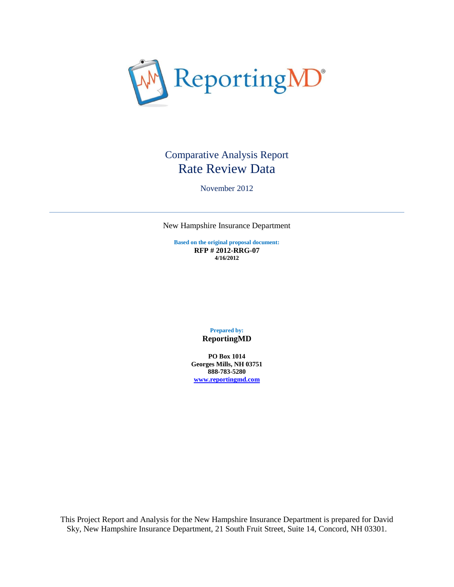

# Comparative Analysis Report Rate Review Data

November 2012

New Hampshire Insurance Department

**Based on the original proposal document: RFP # 2012-RRG-07 4/16/2012**

> **Prepared by: ReportingMD**

**PO Box 1014 Georges Mills, NH 03751 888-783-5280 [www.reportingmd.com](http://www.reportingmd.com/)**

This Project Report and Analysis for the New Hampshire Insurance Department is prepared for David Sky, New Hampshire Insurance Department, 21 South Fruit Street, Suite 14, Concord, NH 03301.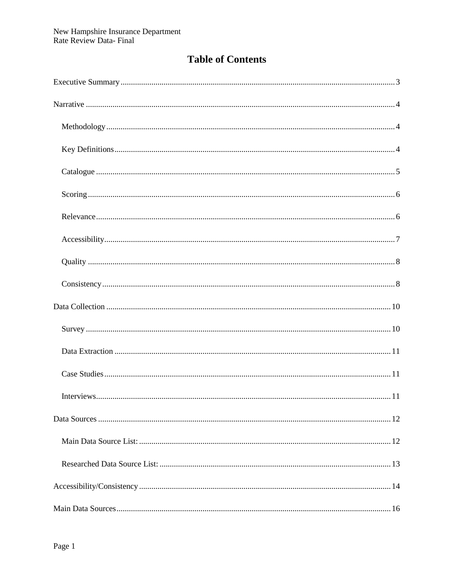# **Table of Contents**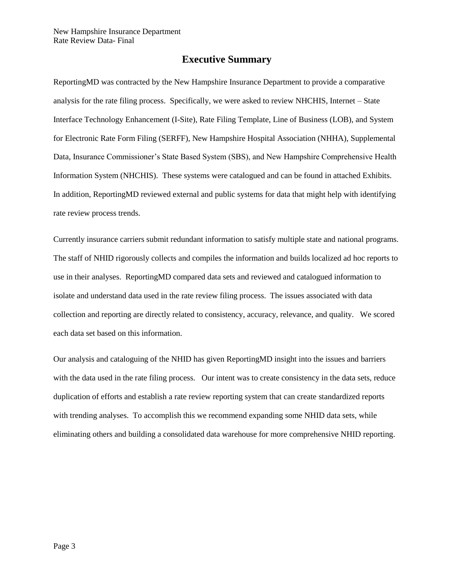## **Executive Summary**

<span id="page-3-0"></span>ReportingMD was contracted by the New Hampshire Insurance Department to provide a comparative analysis for the rate filing process. Specifically, we were asked to review NHCHIS, Internet – State Interface Technology Enhancement (I-Site), Rate Filing Template, Line of Business (LOB), and System for Electronic Rate Form Filing (SERFF), New Hampshire Hospital Association (NHHA), Supplemental Data, Insurance Commissioner's State Based System (SBS), and New Hampshire Comprehensive Health Information System (NHCHIS). These systems were catalogued and can be found in attached Exhibits. In addition, ReportingMD reviewed external and public systems for data that might help with identifying rate review process trends.

Currently insurance carriers submit redundant information to satisfy multiple state and national programs. The staff of NHID rigorously collects and compiles the information and builds localized ad hoc reports to use in their analyses. ReportingMD compared data sets and reviewed and catalogued information to isolate and understand data used in the rate review filing process. The issues associated with data collection and reporting are directly related to consistency, accuracy, relevance, and quality. We scored each data set based on this information.

Our analysis and cataloguing of the NHID has given ReportingMD insight into the issues and barriers with the data used in the rate filing process. Our intent was to create consistency in the data sets, reduce duplication of efforts and establish a rate review reporting system that can create standardized reports with trending analyses. To accomplish this we recommend expanding some NHID data sets, while eliminating others and building a consolidated data warehouse for more comprehensive NHID reporting.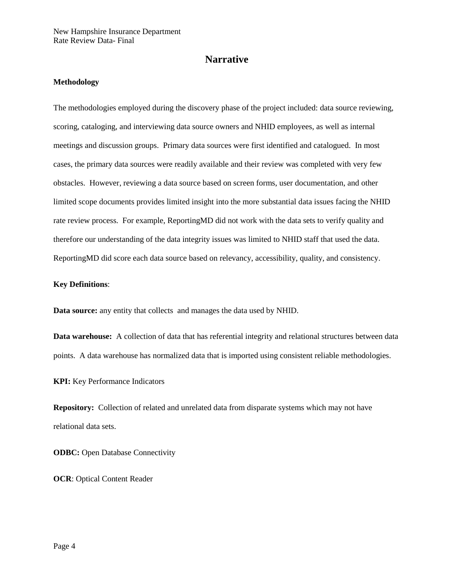## **Narrative**

## <span id="page-4-1"></span><span id="page-4-0"></span>**Methodology**

The methodologies employed during the discovery phase of the project included: data source reviewing, scoring, cataloging, and interviewing data source owners and NHID employees, as well as internal meetings and discussion groups. Primary data sources were first identified and catalogued. In most cases, the primary data sources were readily available and their review was completed with very few obstacles. However, reviewing a data source based on screen forms, user documentation, and other limited scope documents provides limited insight into the more substantial data issues facing the NHID rate review process. For example, ReportingMD did not work with the data sets to verify quality and therefore our understanding of the data integrity issues was limited to NHID staff that used the data. ReportingMD did score each data source based on relevancy, accessibility, quality, and consistency.

#### <span id="page-4-2"></span>**Key Definitions**:

**Data source:** any entity that collects and manages the data used by NHID.

**Data warehouse:** A collection of data that has referential integrity and relational structures between data points. A data warehouse has normalized data that is imported using consistent reliable methodologies.

**KPI:** Key Performance Indicators

**Repository:** Collection of related and unrelated data from disparate systems which may not have relational data sets.

**ODBC:** Open Database Connectivity

**OCR**: Optical Content Reader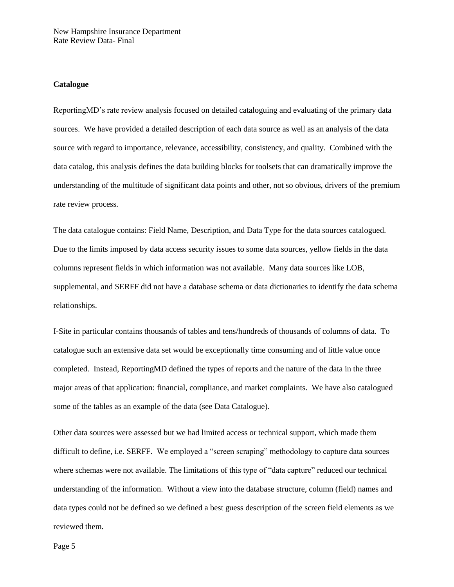#### <span id="page-5-0"></span>**Catalogue**

ReportingMD's rate review analysis focused on detailed cataloguing and evaluating of the primary data sources. We have provided a detailed description of each data source as well as an analysis of the data source with regard to importance, relevance, accessibility, consistency, and quality. Combined with the data catalog, this analysis defines the data building blocks for toolsets that can dramatically improve the understanding of the multitude of significant data points and other, not so obvious, drivers of the premium rate review process.

The data catalogue contains: Field Name, Description, and Data Type for the data sources catalogued. Due to the limits imposed by data access security issues to some data sources, yellow fields in the data columns represent fields in which information was not available. Many data sources like LOB, supplemental, and SERFF did not have a database schema or data dictionaries to identify the data schema relationships.

I-Site in particular contains thousands of tables and tens/hundreds of thousands of columns of data. To catalogue such an extensive data set would be exceptionally time consuming and of little value once completed. Instead, ReportingMD defined the types of reports and the nature of the data in the three major areas of that application: financial, compliance, and market complaints. We have also catalogued some of the tables as an example of the data (see Data Catalogue).

Other data sources were assessed but we had limited access or technical support, which made them difficult to define, i.e. SERFF. We employed a "screen scraping" methodology to capture data sources where schemas were not available. The limitations of this type of "data capture" reduced our technical understanding of the information. Without a view into the database structure, column (field) names and data types could not be defined so we defined a best guess description of the screen field elements as we reviewed them.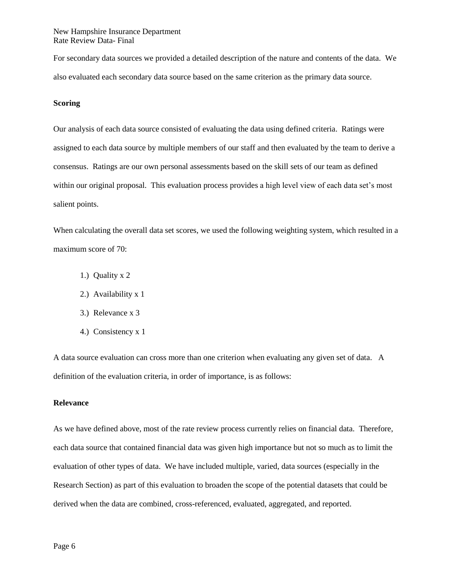For secondary data sources we provided a detailed description of the nature and contents of the data. We also evaluated each secondary data source based on the same criterion as the primary data source.

### <span id="page-6-0"></span>**Scoring**

Our analysis of each data source consisted of evaluating the data using defined criteria. Ratings were assigned to each data source by multiple members of our staff and then evaluated by the team to derive a consensus. Ratings are our own personal assessments based on the skill sets of our team as defined within our original proposal. This evaluation process provides a high level view of each data set's most salient points.

When calculating the overall data set scores, we used the following weighting system, which resulted in a maximum score of 70:

- 1.) Quality x 2
- 2.) Availability x 1
- 3.) Relevance x 3
- 4.) Consistency x 1

A data source evaluation can cross more than one criterion when evaluating any given set of data. A definition of the evaluation criteria, in order of importance, is as follows:

#### <span id="page-6-1"></span>**Relevance**

As we have defined above, most of the rate review process currently relies on financial data. Therefore, each data source that contained financial data was given high importance but not so much as to limit the evaluation of other types of data. We have included multiple, varied, data sources (especially in the Research Section) as part of this evaluation to broaden the scope of the potential datasets that could be derived when the data are combined, cross-referenced, evaluated, aggregated, and reported.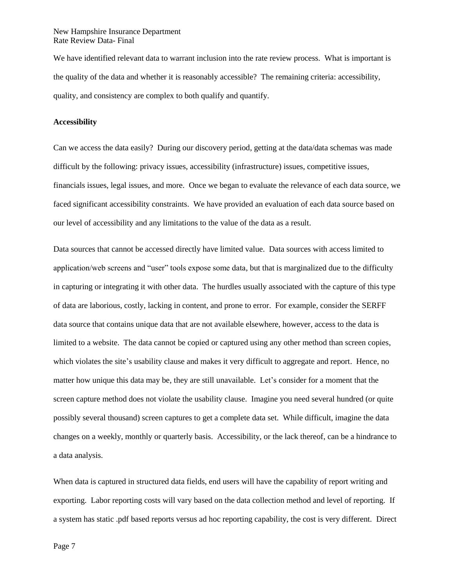We have identified relevant data to warrant inclusion into the rate review process. What is important is the quality of the data and whether it is reasonably accessible? The remaining criteria: accessibility, quality, and consistency are complex to both qualify and quantify.

## <span id="page-7-0"></span>**Accessibility**

Can we access the data easily? During our discovery period, getting at the data/data schemas was made difficult by the following: privacy issues, accessibility (infrastructure) issues, competitive issues, financials issues, legal issues, and more. Once we began to evaluate the relevance of each data source, we faced significant accessibility constraints. We have provided an evaluation of each data source based on our level of accessibility and any limitations to the value of the data as a result.

Data sources that cannot be accessed directly have limited value. Data sources with access limited to application/web screens and "user" tools expose some data, but that is marginalized due to the difficulty in capturing or integrating it with other data. The hurdles usually associated with the capture of this type of data are laborious, costly, lacking in content, and prone to error. For example, consider the SERFF data source that contains unique data that are not available elsewhere, however, access to the data is limited to a website. The data cannot be copied or captured using any other method than screen copies, which violates the site's usability clause and makes it very difficult to aggregate and report. Hence, no matter how unique this data may be, they are still unavailable. Let's consider for a moment that the screen capture method does not violate the usability clause. Imagine you need several hundred (or quite possibly several thousand) screen captures to get a complete data set. While difficult, imagine the data changes on a weekly, monthly or quarterly basis. Accessibility, or the lack thereof, can be a hindrance to a data analysis.

When data is captured in structured data fields, end users will have the capability of report writing and exporting. Labor reporting costs will vary based on the data collection method and level of reporting. If a system has static .pdf based reports versus ad hoc reporting capability, the cost is very different. Direct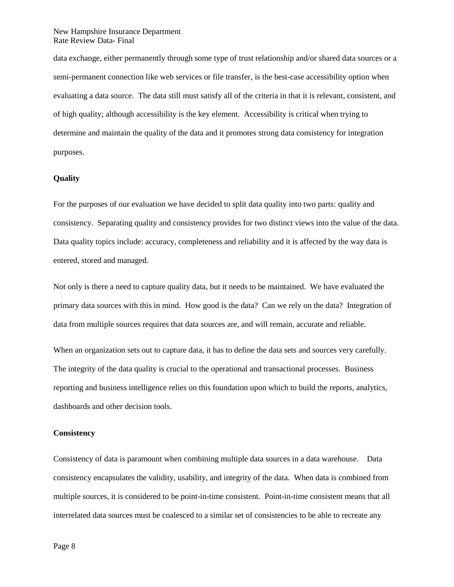data exchange, either permanently through some type of trust relationship and/or shared data sources or a semi-permanent connection like web services or file transfer, is the best-case accessibility option when evaluating a data source. The data still must satisfy all of the criteria in that it is relevant, consistent, and of high quality; although accessibility is the key element. Accessibility is critical when trying to determine and maintain the quality of the data and it promotes strong data consistency for integration purposes.

#### <span id="page-8-0"></span>**Quality**

For the purposes of our evaluation we have decided to split data quality into two parts: quality and consistency. Separating quality and consistency provides for two distinct views into the value of the data. Data quality topics include: accuracy, completeness and reliability and it is affected by the way data is entered, stored and managed.

Not only is there a need to capture quality data, but it needs to be maintained. We have evaluated the primary data sources with this in mind. How good is the data? Can we rely on the data? Integration of data from multiple sources requires that data sources are, and will remain, accurate and reliable.

When an organization sets out to capture data, it has to define the data sets and sources very carefully. The integrity of the data quality is crucial to the operational and transactional processes. Business reporting and business intelligence relies on this foundation upon which to build the reports, analytics, dashboards and other decision tools.

#### <span id="page-8-1"></span>**Consistency**

Consistency of data is paramount when combining multiple data sources in a data warehouse. Data consistency encapsulates the validity, usability, and integrity of the data. When data is combined from multiple sources, it is considered to be point-in-time consistent. Point-in-time consistent means that all interrelated data sources must be coalesced to a similar set of consistencies to be able to recreate any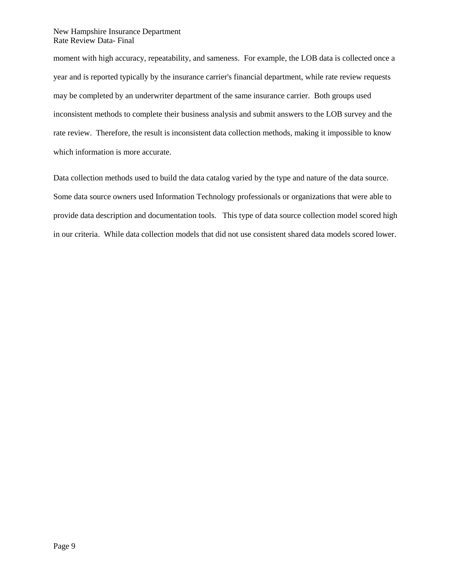moment with high accuracy, repeatability, and sameness. For example, the LOB data is collected once a year and is reported typically by the insurance carrier's financial department, while rate review requests may be completed by an underwriter department of the same insurance carrier. Both groups used inconsistent methods to complete their business analysis and submit answers to the LOB survey and the rate review. Therefore, the result is inconsistent data collection methods, making it impossible to know which information is more accurate.

Data collection methods used to build the data catalog varied by the type and nature of the data source. Some data source owners used Information Technology professionals or organizations that were able to provide data description and documentation tools. This type of data source collection model scored high in our criteria. While data collection models that did not use consistent shared data models scored lower.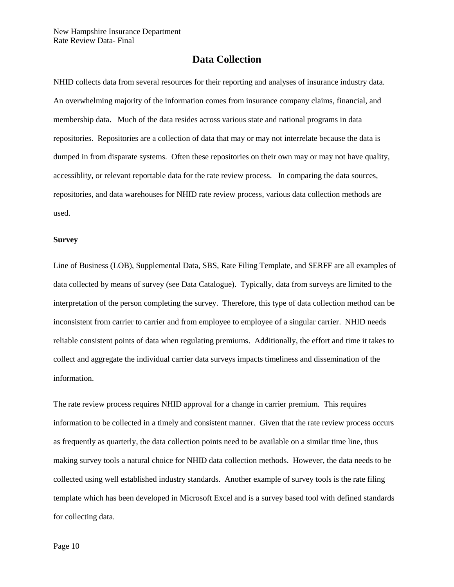## **Data Collection**

<span id="page-10-0"></span>NHID collects data from several resources for their reporting and analyses of insurance industry data. An overwhelming majority of the information comes from insurance company claims, financial, and membership data. Much of the data resides across various state and national programs in data repositories. Repositories are a collection of data that may or may not interrelate because the data is dumped in from disparate systems. Often these repositories on their own may or may not have quality, accessiblity, or relevant reportable data for the rate review process. In comparing the data sources, repositories, and data warehouses for NHID rate review process, various data collection methods are used.

#### <span id="page-10-1"></span>**Survey**

Line of Business (LOB), Supplemental Data, SBS, Rate Filing Template, and SERFF are all examples of data collected by means of survey (see Data Catalogue). Typically, data from surveys are limited to the interpretation of the person completing the survey. Therefore, this type of data collection method can be inconsistent from carrier to carrier and from employee to employee of a singular carrier. NHID needs reliable consistent points of data when regulating premiums. Additionally, the effort and time it takes to collect and aggregate the individual carrier data surveys impacts timeliness and dissemination of the information.

The rate review process requires NHID approval for a change in carrier premium. This requires information to be collected in a timely and consistent manner. Given that the rate review process occurs as frequently as quarterly, the data collection points need to be available on a similar time line, thus making survey tools a natural choice for NHID data collection methods. However, the data needs to be collected using well established industry standards. Another example of survey tools is the rate filing template which has been developed in Microsoft Excel and is a survey based tool with defined standards for collecting data.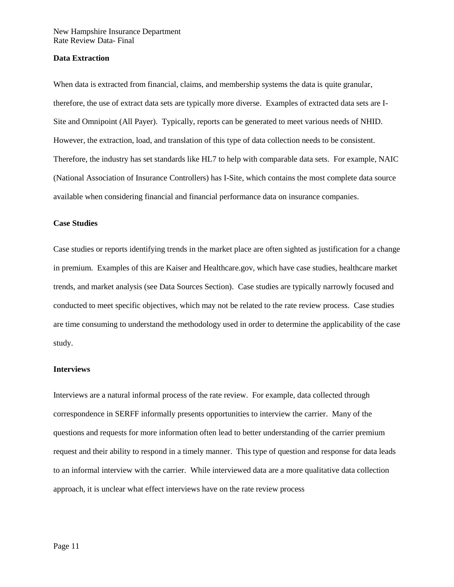#### <span id="page-11-0"></span>**Data Extraction**

When data is extracted from financial, claims, and membership systems the data is quite granular, therefore, the use of extract data sets are typically more diverse. Examples of extracted data sets are I-Site and Omnipoint (All Payer). Typically, reports can be generated to meet various needs of NHID. However, the extraction, load, and translation of this type of data collection needs to be consistent. Therefore, the industry has set standards like HL7 to help with comparable data sets. For example, NAIC (National Association of Insurance Controllers) has I-Site, which contains the most complete data source available when considering financial and financial performance data on insurance companies.

#### <span id="page-11-1"></span>**Case Studies**

Case studies or reports identifying trends in the market place are often sighted as justification for a change in premium. Examples of this are Kaiser and Healthcare.gov, which have case studies, healthcare market trends, and market analysis (see Data Sources Section). Case studies are typically narrowly focused and conducted to meet specific objectives, which may not be related to the rate review process. Case studies are time consuming to understand the methodology used in order to determine the applicability of the case study.

#### <span id="page-11-2"></span>**Interviews**

Interviews are a natural informal process of the rate review. For example, data collected through correspondence in SERFF informally presents opportunities to interview the carrier. Many of the questions and requests for more information often lead to better understanding of the carrier premium request and their ability to respond in a timely manner. This type of question and response for data leads to an informal interview with the carrier. While interviewed data are a more qualitative data collection approach, it is unclear what effect interviews have on the rate review process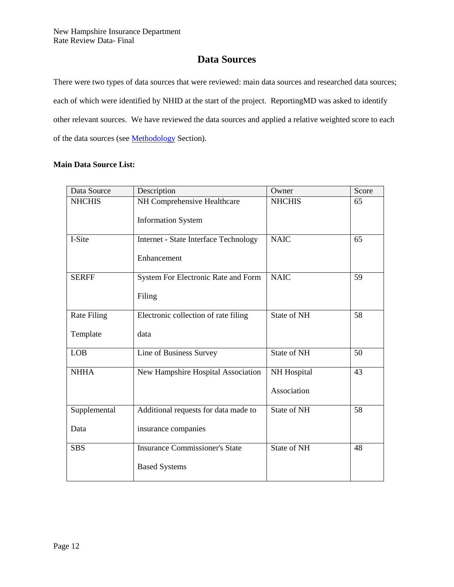## **Data Sources**

<span id="page-12-0"></span>There were two types of data sources that were reviewed: main data sources and researched data sources; each of which were identified by NHID at the start of the project. ReportingMD was asked to identify other relevant sources. We have reviewed the data sources and applied a relative weighted score to each of the data sources (see **Methodology** Section).

## <span id="page-12-1"></span>**Main Data Source List:**

| Data Source        | Description                           | Owner         | Score |
|--------------------|---------------------------------------|---------------|-------|
| <b>NHCHIS</b>      | NH Comprehensive Healthcare           | <b>NHCHIS</b> | 65    |
|                    | <b>Information System</b>             |               |       |
| I-Site             | Internet - State Interface Technology | <b>NAIC</b>   | 65    |
|                    | Enhancement                           |               |       |
| <b>SERFF</b>       | System For Electronic Rate and Form   | <b>NAIC</b>   | 59    |
|                    | Filing                                |               |       |
| <b>Rate Filing</b> | Electronic collection of rate filing  | State of NH   | 58    |
| Template           | data                                  |               |       |
| <b>LOB</b>         | Line of Business Survey               | State of NH   | 50    |
| <b>NHHA</b>        | New Hampshire Hospital Association    | NH Hospital   | 43    |
|                    |                                       | Association   |       |
| Supplemental       | Additional requests for data made to  | State of NH   | 58    |
| Data               | insurance companies                   |               |       |
| <b>SBS</b>         | <b>Insurance Commissioner's State</b> | State of NH   | 48    |
|                    | <b>Based Systems</b>                  |               |       |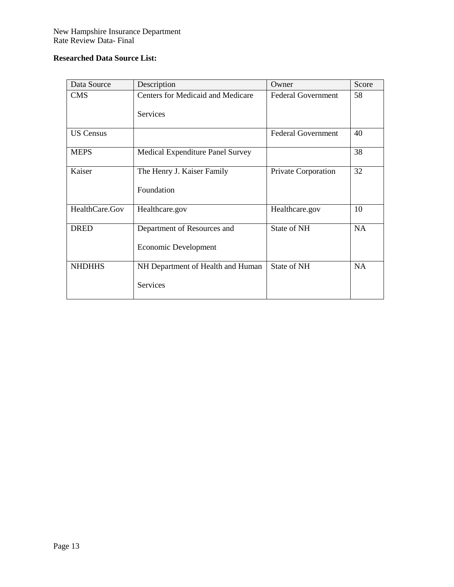## <span id="page-13-0"></span>**Researched Data Source List:**

| Data Source      | Description                              | Owner                     | Score     |
|------------------|------------------------------------------|---------------------------|-----------|
| <b>CMS</b>       | <b>Centers for Medicaid and Medicare</b> | <b>Federal Government</b> | 58        |
|                  | <b>Services</b>                          |                           |           |
|                  |                                          |                           |           |
| <b>US Census</b> |                                          | <b>Federal Government</b> | 40        |
| <b>MEPS</b>      | Medical Expenditure Panel Survey         |                           | 38        |
| Kaiser           | The Henry J. Kaiser Family               | Private Corporation       | 32        |
|                  | Foundation                               |                           |           |
|                  |                                          |                           |           |
| HealthCare.Gov   | Healthcare.gov                           | Healthcare.gov            | 10        |
| <b>DRED</b>      | Department of Resources and              | State of NH               | <b>NA</b> |
|                  | Economic Development                     |                           |           |
| <b>NHDHHS</b>    | NH Department of Health and Human        | State of NH               | <b>NA</b> |
|                  | Services                                 |                           |           |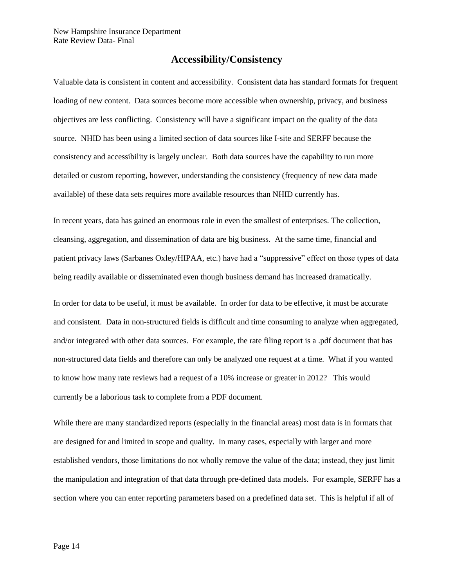## **Accessibility/Consistency**

<span id="page-14-0"></span>Valuable data is consistent in content and accessibility. Consistent data has standard formats for frequent loading of new content. Data sources become more accessible when ownership, privacy, and business objectives are less conflicting. Consistency will have a significant impact on the quality of the data source. NHID has been using a limited section of data sources like I-site and SERFF because the consistency and accessibility is largely unclear. Both data sources have the capability to run more detailed or custom reporting, however, understanding the consistency (frequency of new data made available) of these data sets requires more available resources than NHID currently has.

In recent years, data has gained an enormous role in even the smallest of enterprises. The collection, cleansing, aggregation, and dissemination of data are big business. At the same time, financial and patient privacy laws (Sarbanes Oxley/HIPAA, etc.) have had a "suppressive" effect on those types of data being readily available or disseminated even though business demand has increased dramatically.

In order for data to be useful, it must be available. In order for data to be effective, it must be accurate and consistent. Data in non-structured fields is difficult and time consuming to analyze when aggregated, and/or integrated with other data sources. For example, the rate filing report is a .pdf document that has non-structured data fields and therefore can only be analyzed one request at a time. What if you wanted to know how many rate reviews had a request of a 10% increase or greater in 2012? This would currently be a laborious task to complete from a PDF document.

While there are many standardized reports (especially in the financial areas) most data is in formats that are designed for and limited in scope and quality. In many cases, especially with larger and more established vendors, those limitations do not wholly remove the value of the data; instead, they just limit the manipulation and integration of that data through pre-defined data models. For example, SERFF has a section where you can enter reporting parameters based on a predefined data set. This is helpful if all of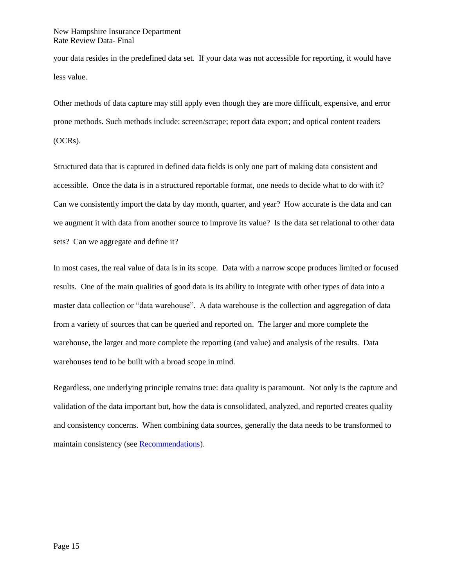your data resides in the predefined data set. If your data was not accessible for reporting, it would have less value.

Other methods of data capture may still apply even though they are more difficult, expensive, and error prone methods. Such methods include: screen/scrape; report data export; and optical content readers (OCRs).

Structured data that is captured in defined data fields is only one part of making data consistent and accessible. Once the data is in a structured reportable format, one needs to decide what to do with it? Can we consistently import the data by day month, quarter, and year? How accurate is the data and can we augment it with data from another source to improve its value? Is the data set relational to other data sets? Can we aggregate and define it?

In most cases, the real value of data is in its scope. Data with a narrow scope produces limited or focused results. One of the main qualities of good data is its ability to integrate with other types of data into a master data collection or "data warehouse". A data warehouse is the collection and aggregation of data from a variety of sources that can be queried and reported on. The larger and more complete the warehouse, the larger and more complete the reporting (and value) and analysis of the results. Data warehouses tend to be built with a broad scope in mind.

Regardless, one underlying principle remains true: data quality is paramount. Not only is the capture and validation of the data important but, how the data is consolidated, analyzed, and reported creates quality and consistency concerns. When combining data sources, generally the data needs to be transformed to maintain consistency (see [Recommendations\)](#page-38-0).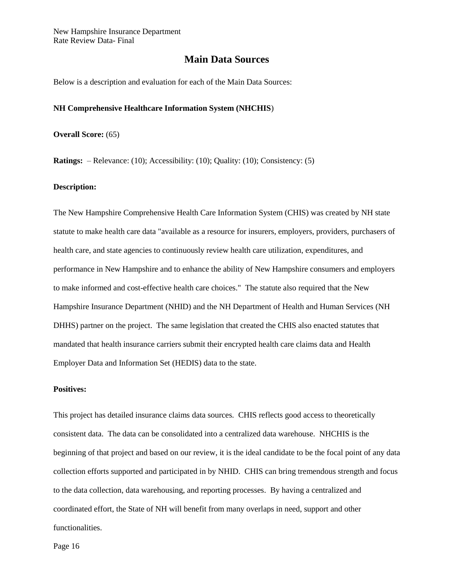## **Main Data Sources**

<span id="page-16-0"></span>Below is a description and evaluation for each of the Main Data Sources:

#### <span id="page-16-1"></span>**NH Comprehensive Healthcare Information System (NHCHIS**)

**Overall Score:** (65)

**Ratings:** – Relevance: (10); Accessibility: (10); Quality: (10); Consistency: (5)

#### **Description:**

The New Hampshire Comprehensive Health Care Information System (CHIS) was created by NH state statute to make health care data "available as a resource for insurers, employers, providers, purchasers of health care, and state agencies to continuously review health care utilization, expenditures, and performance in New Hampshire and to enhance the ability of New Hampshire consumers and employers to make informed and cost-effective health care choices." The statute also required that the New Hampshire Insurance Department (NHID) and the NH Department of Health and Human Services (NH DHHS) partner on the project. The same legislation that created the CHIS also enacted statutes that mandated that health insurance carriers submit their encrypted health care claims data and Health Employer Data and Information Set (HEDIS) data to the state.

#### **Positives:**

This project has detailed insurance claims data sources. CHIS reflects good access to theoretically consistent data. The data can be consolidated into a centralized data warehouse. NHCHIS is the beginning of that project and based on our review, it is the ideal candidate to be the focal point of any data collection efforts supported and participated in by NHID. CHIS can bring tremendous strength and focus to the data collection, data warehousing, and reporting processes. By having a centralized and coordinated effort, the State of NH will benefit from many overlaps in need, support and other functionalities.

Page 16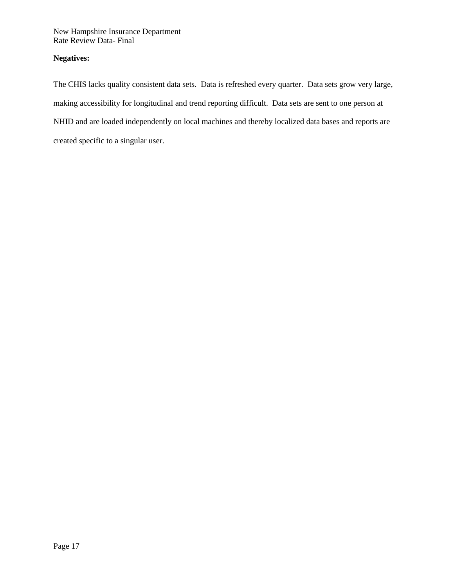## **Negatives:**

The CHIS lacks quality consistent data sets. Data is refreshed every quarter. Data sets grow very large, making accessibility for longitudinal and trend reporting difficult. Data sets are sent to one person at NHID and are loaded independently on local machines and thereby localized data bases and reports are created specific to a singular user.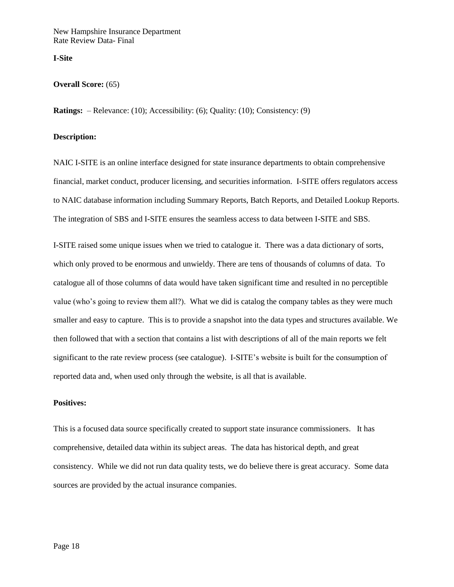<span id="page-18-0"></span>**I-Site**

#### **Overall Score:** (65)

**Ratings:** – Relevance: (10); Accessibility: (6); Quality: (10); Consistency: (9)

#### <span id="page-18-1"></span>**Description:**

NAIC I-SITE is an online interface designed for state insurance departments to obtain comprehensive financial, market conduct, producer licensing, and securities information. I-SITE offers regulators access to NAIC database information including Summary Reports, Batch Reports, and Detailed Lookup Reports. The integration of SBS and I-SITE ensures the seamless access to data between I-SITE and SBS.

I-SITE raised some unique issues when we tried to catalogue it. There was a data dictionary of sorts, which only proved to be enormous and unwieldy. There are tens of thousands of columns of data. To catalogue all of those columns of data would have taken significant time and resulted in no perceptible value (who's going to review them all?). What we did is catalog the company tables as they were much smaller and easy to capture. This is to provide a snapshot into the data types and structures available. We then followed that with a section that contains a list with descriptions of all of the main reports we felt significant to the rate review process (see catalogue). I-SITE's website is built for the consumption of reported data and, when used only through the website, is all that is available.

## **Positives:**

This is a focused data source specifically created to support state insurance commissioners. It has comprehensive, detailed data within its subject areas. The data has historical depth, and great consistency. While we did not run data quality tests, we do believe there is great accuracy. Some data sources are provided by the actual insurance companies.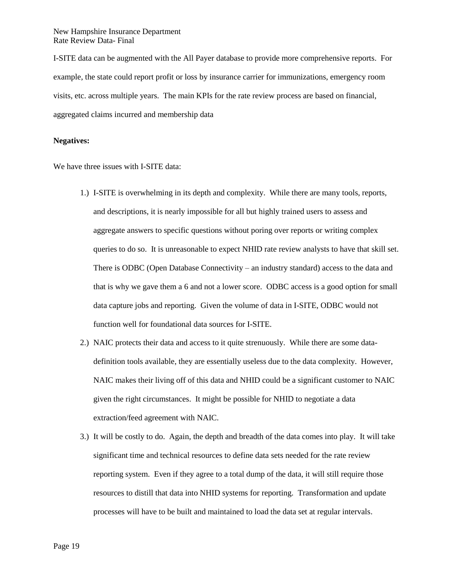I-SITE data can be augmented with the All Payer database to provide more comprehensive reports. For example, the state could report profit or loss by insurance carrier for immunizations, emergency room visits, etc. across multiple years. The main KPIs for the rate review process are based on financial, aggregated claims incurred and membership data

#### **Negatives:**

We have three issues with I-SITE data:

- 1.) I-SITE is overwhelming in its depth and complexity. While there are many tools, reports, and descriptions, it is nearly impossible for all but highly trained users to assess and aggregate answers to specific questions without poring over reports or writing complex queries to do so. It is unreasonable to expect NHID rate review analysts to have that skill set. There is ODBC (Open Database Connectivity – an industry standard) access to the data and that is why we gave them a 6 and not a lower score. ODBC access is a good option for small data capture jobs and reporting. Given the volume of data in I-SITE, ODBC would not function well for foundational data sources for I-SITE.
- 2.) NAIC protects their data and access to it quite strenuously. While there are some datadefinition tools available, they are essentially useless due to the data complexity. However, NAIC makes their living off of this data and NHID could be a significant customer to NAIC given the right circumstances. It might be possible for NHID to negotiate a data extraction/feed agreement with NAIC.
- 3.) It will be costly to do. Again, the depth and breadth of the data comes into play. It will take significant time and technical resources to define data sets needed for the rate review reporting system. Even if they agree to a total dump of the data, it will still require those resources to distill that data into NHID systems for reporting. Transformation and update processes will have to be built and maintained to load the data set at regular intervals.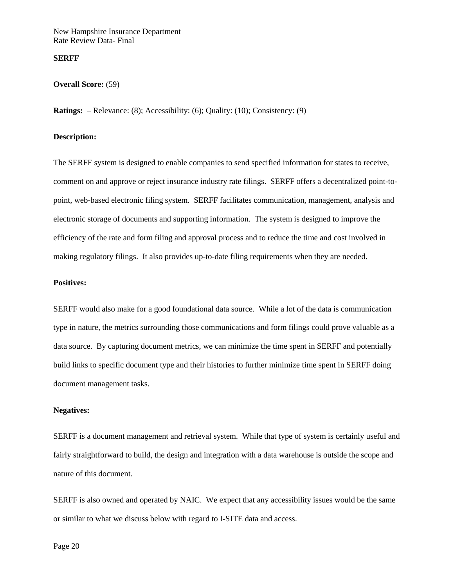#### **SERFF**

#### **Overall Score:** (59)

**Ratings:** – Relevance: (8); Accessibility: (6); Quality: (10); Consistency: (9)

#### **Description:**

The SERFF system is designed to enable companies to send specified information for states to receive, comment on and approve or reject insurance industry rate filings. SERFF offers a decentralized point-topoint, web-based electronic filing system. SERFF facilitates communication, management, analysis and electronic storage of documents and supporting information. The system is designed to improve the efficiency of the rate and form filing and approval process and to reduce the time and cost involved in making regulatory filings. It also provides up-to-date filing requirements when they are needed.

#### **Positives:**

SERFF would also make for a good foundational data source. While a lot of the data is communication type in nature, the metrics surrounding those communications and form filings could prove valuable as a data source. By capturing document metrics, we can minimize the time spent in SERFF and potentially build links to specific document type and their histories to further minimize time spent in SERFF doing document management tasks.

#### **Negatives:**

SERFF is a document management and retrieval system. While that type of system is certainly useful and fairly straightforward to build, the design and integration with a data warehouse is outside the scope and nature of this document.

SERFF is also owned and operated by NAIC. We expect that any accessibility issues would be the same or similar to what we discuss below with regard to I-SITE data and access.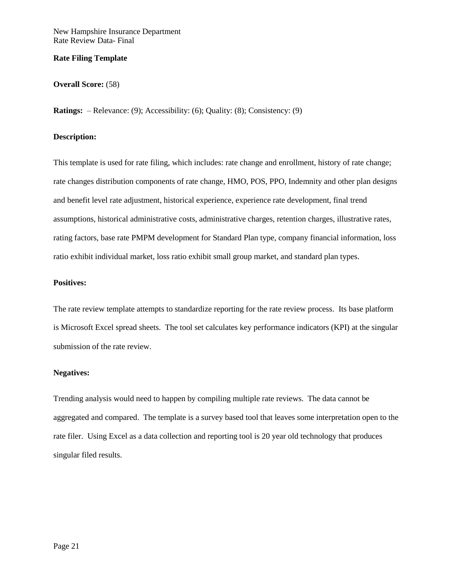#### <span id="page-21-0"></span>**Rate Filing Template**

#### **Overall Score:** (58)

**Ratings:** – Relevance: (9); Accessibility: (6); Quality: (8); Consistency: (9)

#### **Description:**

This template is used for rate filing, which includes: rate change and enrollment, history of rate change; rate changes distribution components of rate change, HMO, POS, PPO, Indemnity and other plan designs and benefit level rate adjustment, historical experience, experience rate development, final trend assumptions, historical administrative costs, administrative charges, retention charges, illustrative rates, rating factors, base rate PMPM development for Standard Plan type, company financial information, loss ratio exhibit individual market, loss ratio exhibit small group market, and standard plan types.

#### **Positives:**

The rate review template attempts to standardize reporting for the rate review process. Its base platform is Microsoft Excel spread sheets. The tool set calculates key performance indicators (KPI) at the singular submission of the rate review.

### **Negatives:**

Trending analysis would need to happen by compiling multiple rate reviews. The data cannot be aggregated and compared. The template is a survey based tool that leaves some interpretation open to the rate filer. Using Excel as a data collection and reporting tool is 20 year old technology that produces singular filed results.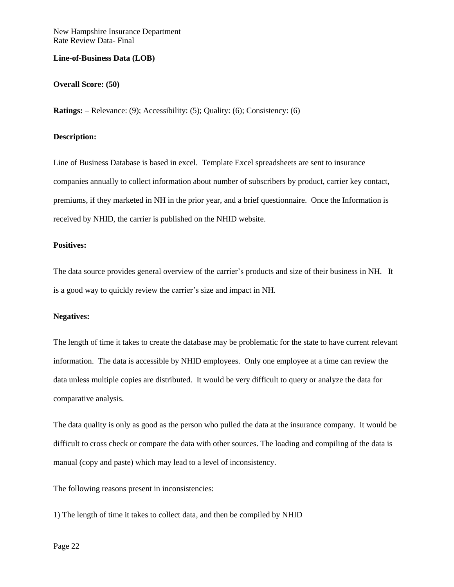#### <span id="page-22-0"></span>**Line-of-Business Data (LOB)**

#### **Overall Score: (50)**

**Ratings:** – Relevance: (9); Accessibility: (5); Quality: (6); Consistency: (6)

## **Description:**

Line of Business Database is based in excel. Template Excel spreadsheets are sent to insurance companies annually to collect information about number of subscribers by product, carrier key contact, premiums, if they marketed in NH in the prior year, and a brief questionnaire. Once the Information is received by NHID, the carrier is published on the NHID website.

### **Positives:**

The data source provides general overview of the carrier's products and size of their business in NH. It is a good way to quickly review the carrier's size and impact in NH.

#### **Negatives:**

The length of time it takes to create the database may be problematic for the state to have current relevant information. The data is accessible by NHID employees. Only one employee at a time can review the data unless multiple copies are distributed. It would be very difficult to query or analyze the data for comparative analysis.

The data quality is only as good as the person who pulled the data at the insurance company. It would be difficult to cross check or compare the data with other sources. The loading and compiling of the data is manual (copy and paste) which may lead to a level of inconsistency.

The following reasons present in inconsistencies:

1) The length of time it takes to collect data, and then be compiled by NHID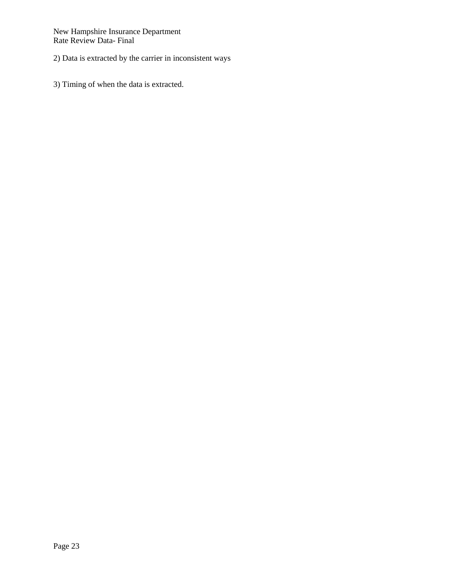2) Data is extracted by the carrier in inconsistent ways

3) Timing of when the data is extracted.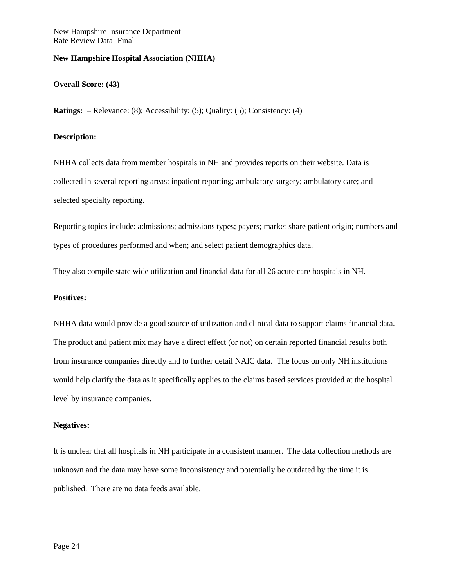### <span id="page-24-0"></span>**New Hampshire Hospital Association (NHHA)**

#### **Overall Score: (43)**

**Ratings:** – Relevance: (8); Accessibility: (5); Quality: (5); Consistency: (4)

## **Description:**

NHHA collects data from member hospitals in NH and provides reports on their website. Data is collected in several reporting areas: inpatient reporting; ambulatory surgery; ambulatory care; and selected specialty reporting.

Reporting topics include: admissions; admissions types; payers; market share patient origin; numbers and types of procedures performed and when; and select patient demographics data.

They also compile state wide utilization and financial data for all 26 acute care hospitals in NH.

#### **Positives:**

NHHA data would provide a good source of utilization and clinical data to support claims financial data. The product and patient mix may have a direct effect (or not) on certain reported financial results both from insurance companies directly and to further detail NAIC data. The focus on only NH institutions would help clarify the data as it specifically applies to the claims based services provided at the hospital level by insurance companies.

#### **Negatives:**

It is unclear that all hospitals in NH participate in a consistent manner. The data collection methods are unknown and the data may have some inconsistency and potentially be outdated by the time it is published. There are no data feeds available.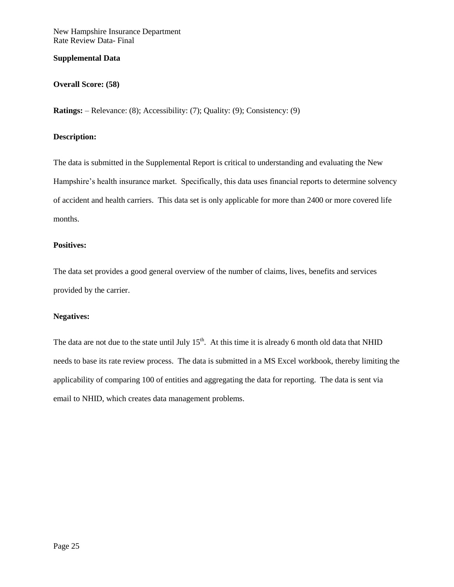### <span id="page-25-0"></span>**Supplemental Data**

## **Overall Score: (58)**

**Ratings:** – Relevance: (8); Accessibility: (7); Quality: (9); Consistency: (9)

## **Description:**

The data is submitted in the Supplemental Report is critical to understanding and evaluating the New Hampshire's health insurance market. Specifically, this data uses financial reports to determine solvency of accident and health carriers. This data set is only applicable for more than 2400 or more covered life months.

### **Positives:**

The data set provides a good general overview of the number of claims, lives, benefits and services provided by the carrier.

### **Negatives:**

The data are not due to the state until July  $15<sup>th</sup>$ . At this time it is already 6 month old data that NHID needs to base its rate review process. The data is submitted in a MS Excel workbook, thereby limiting the applicability of comparing 100 of entities and aggregating the data for reporting. The data is sent via email to NHID, which creates data management problems.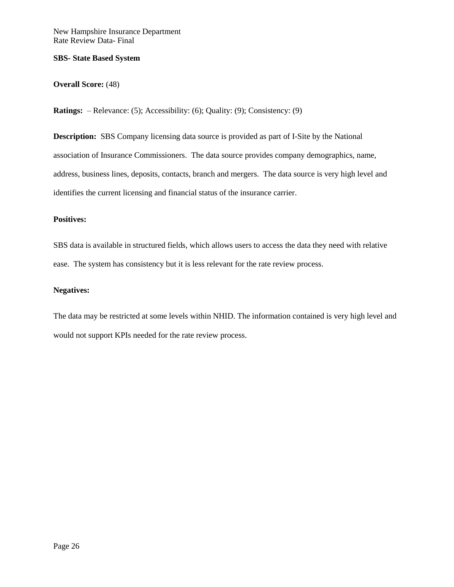#### **SBS- State Based System**

## **Overall Score:** (48)

**Ratings:** – Relevance: (5); Accessibility: (6); Quality: (9); Consistency: (9)

**Description:** SBS Company licensing data source is provided as part of I-Site by the National association of Insurance Commissioners. The data source provides company demographics, name, address, business lines, deposits, contacts, branch and mergers. The data source is very high level and identifies the current licensing and financial status of the insurance carrier.

## **Positives:**

SBS data is available in structured fields, which allows users to access the data they need with relative ease. The system has consistency but it is less relevant for the rate review process.

#### **Negatives:**

The data may be restricted at some levels within NHID. The information contained is very high level and would not support KPIs needed for the rate review process.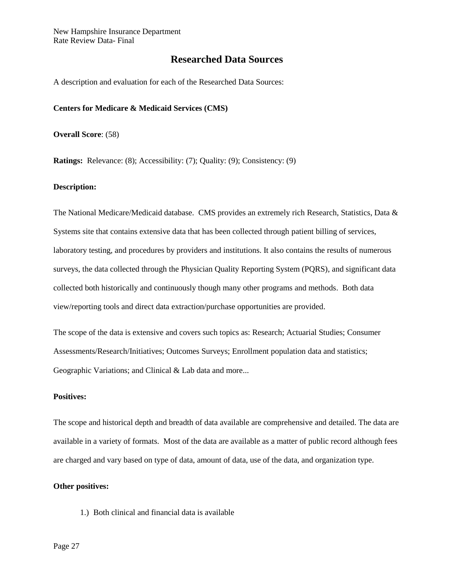## **Researched Data Sources**

<span id="page-27-0"></span>A description and evaluation for each of the Researched Data Sources:

#### **Centers for Medicare & Medicaid Services (CMS)**

**Overall Score**: (58)

**Ratings:** Relevance: (8); Accessibility: (7); Quality: (9); Consistency: (9)

#### **Description:**

The National Medicare/Medicaid database. CMS provides an extremely rich Research, Statistics, Data & Systems site that contains extensive data that has been collected through patient billing of services, laboratory testing, and procedures by providers and institutions. It also contains the results of numerous surveys, the data collected through the Physician Quality Reporting System (PQRS), and significant data collected both historically and continuously though many other programs and methods. Both data view/reporting tools and direct data extraction/purchase opportunities are provided.

The scope of the data is extensive and covers such topics as: Research; Actuarial Studies; Consumer Assessments/Research/Initiatives; Outcomes Surveys; Enrollment population data and statistics; Geographic Variations; and Clinical & Lab data and more...

#### **Positives:**

The scope and historical depth and breadth of data available are comprehensive and detailed. The data are available in a variety of formats. Most of the data are available as a matter of public record although fees are charged and vary based on type of data, amount of data, use of the data, and organization type.

#### **Other positives:**

1.) Both clinical and financial data is available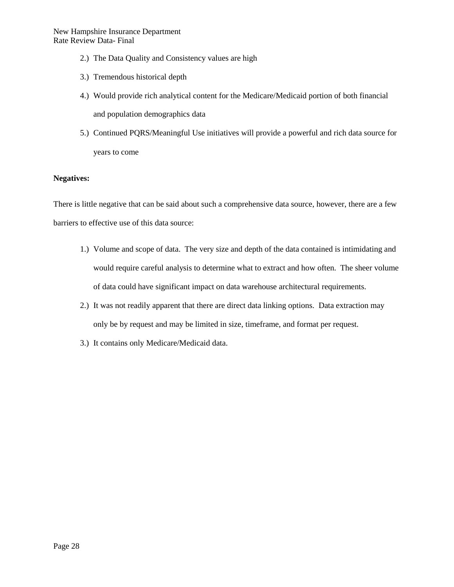- 2.) The Data Quality and Consistency values are high
- 3.) Tremendous historical depth
- 4.) Would provide rich analytical content for the Medicare/Medicaid portion of both financial and population demographics data
- 5.) Continued PQRS/Meaningful Use initiatives will provide a powerful and rich data source for years to come

## **Negatives:**

There is little negative that can be said about such a comprehensive data source, however, there are a few barriers to effective use of this data source:

- 1.) Volume and scope of data. The very size and depth of the data contained is intimidating and would require careful analysis to determine what to extract and how often. The sheer volume of data could have significant impact on data warehouse architectural requirements.
- 2.) It was not readily apparent that there are direct data linking options. Data extraction may only be by request and may be limited in size, timeframe, and format per request.
- 3.) It contains only Medicare/Medicaid data.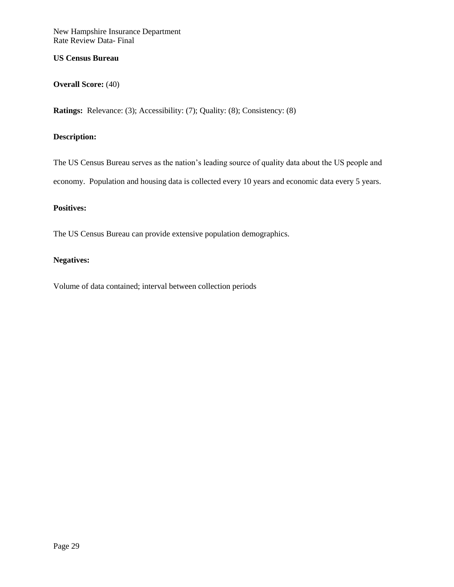## <span id="page-29-0"></span>**US Census Bureau**

## **Overall Score:** (40)

**Ratings:** Relevance: (3); Accessibility: (7); Quality: (8); Consistency: (8)

## **Description:**

The US Census Bureau serves as the nation's leading source of quality data about the US people and economy. Population and housing data is collected every 10 years and economic data every 5 years.

## **Positives:**

The US Census Bureau can provide extensive population demographics.

### **Negatives:**

Volume of data contained; interval between collection periods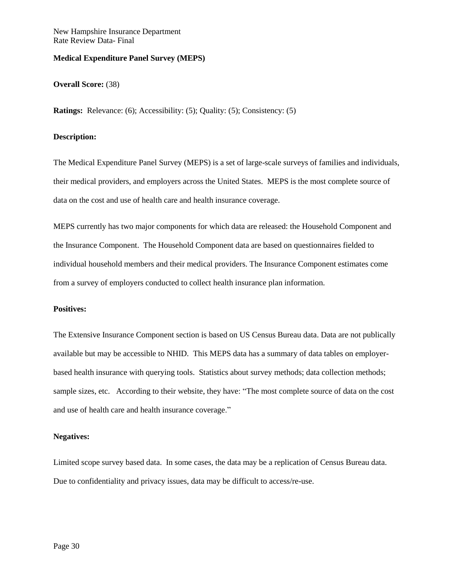#### <span id="page-30-0"></span>**Medical Expenditure Panel Survey (MEPS)**

#### **Overall Score:** (38)

**Ratings:** Relevance: (6); Accessibility: (5); Quality: (5); Consistency: (5)

## **Description:**

The Medical Expenditure Panel Survey (MEPS) is a set of large-scale surveys of families and individuals, their medical providers, and employers across the United States. MEPS is the most complete source of data on the cost and use of health care and health insurance coverage.

MEPS currently has two major components for which data are released: the Household Component and the Insurance Component. The Household Component data are based on questionnaires fielded to individual household members and their medical providers. The Insurance Component estimates come from a survey of employers conducted to collect health insurance plan information.

#### **Positives:**

The Extensive Insurance Component section is based on US Census Bureau data. Data are not publically available but may be accessible to NHID. This MEPS data has a summary of data tables on employerbased health insurance with querying tools. Statistics about survey methods; data collection methods; sample sizes, etc. According to their website, they have: "The most complete source of data on the cost and use of health care and health insurance coverage."

#### **Negatives:**

Limited scope survey based data. In some cases, the data may be a replication of Census Bureau data. Due to confidentiality and privacy issues, data may be difficult to access/re-use.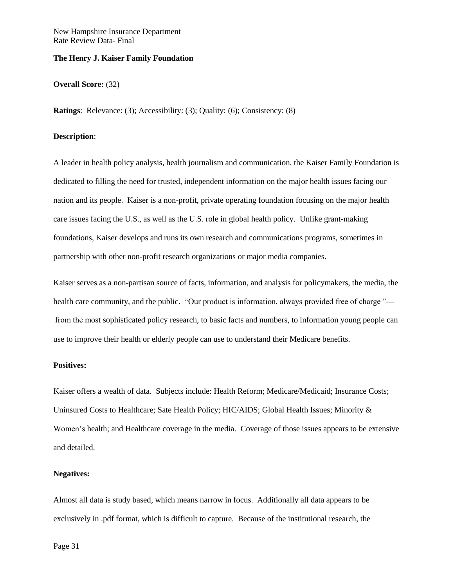### <span id="page-31-0"></span>**The Henry J. Kaiser Family Foundation**

#### **Overall Score:** (32)

**Ratings**: Relevance: (3); Accessibility: (3); Quality: (6); Consistency: (8)

### **Description**:

A leader in health policy analysis, health journalism and communication, the Kaiser Family Foundation is dedicated to filling the need for trusted, independent information on the major health issues facing our nation and its people. Kaiser is a non-profit, private operating foundation focusing on the major health care issues facing the U.S., as well as the U.S. role in global health policy. Unlike grant-making foundations, Kaiser develops and runs its own research and communications programs, sometimes in partnership with other non-profit research organizations or major media companies.

Kaiser serves as a non-partisan source of facts, information, and analysis for policymakers, the media, the health care community, and the public. "Our product is information, always provided free of charge<sup>"</sup>  from the most sophisticated policy research, to basic facts and numbers, to information young people can use to improve their health or elderly people can use to understand their Medicare benefits.

## **Positives:**

Kaiser offers a wealth of data. Subjects include: Health Reform; Medicare/Medicaid; Insurance Costs; Uninsured Costs to Healthcare; Sate Health Policy; HIC/AIDS; Global Health Issues; Minority & Women's health; and Healthcare coverage in the media. Coverage of those issues appears to be extensive and detailed.

## **Negatives:**

Almost all data is study based, which means narrow in focus. Additionally all data appears to be exclusively in .pdf format, which is difficult to capture. Because of the institutional research, the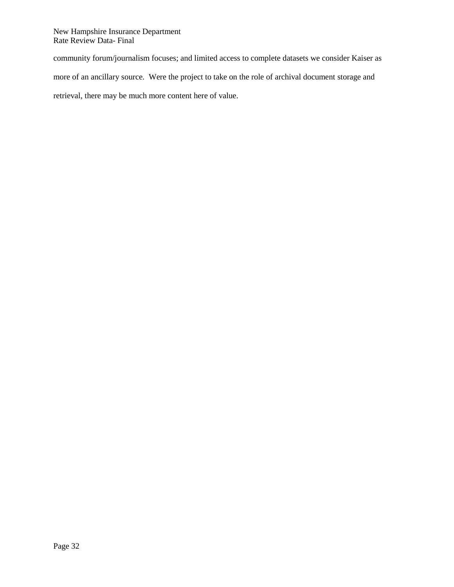community forum/journalism focuses; and limited access to complete datasets we consider Kaiser as more of an ancillary source. Were the project to take on the role of archival document storage and retrieval, there may be much more content here of value.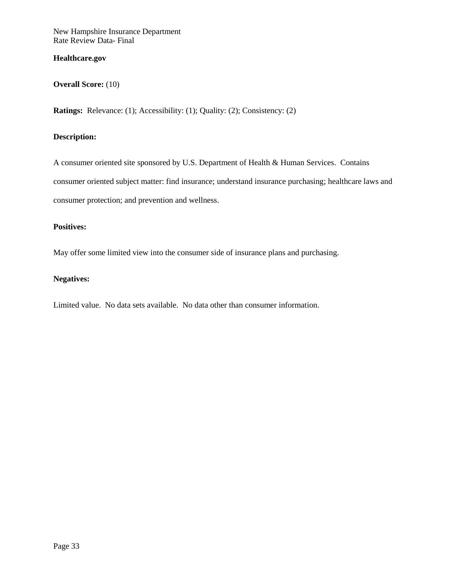## <span id="page-33-0"></span>**Healthcare.gov**

## **Overall Score:** (10)

**Ratings:** Relevance: (1); Accessibility: (1); Quality: (2); Consistency: (2)

## **Description:**

A consumer oriented site sponsored by U.S. Department of Health & Human Services. Contains consumer oriented subject matter: find insurance; understand insurance purchasing; healthcare laws and consumer protection; and prevention and wellness.

## **Positives:**

May offer some limited view into the consumer side of insurance plans and purchasing.

## **Negatives:**

Limited value. No data sets available. No data other than consumer information.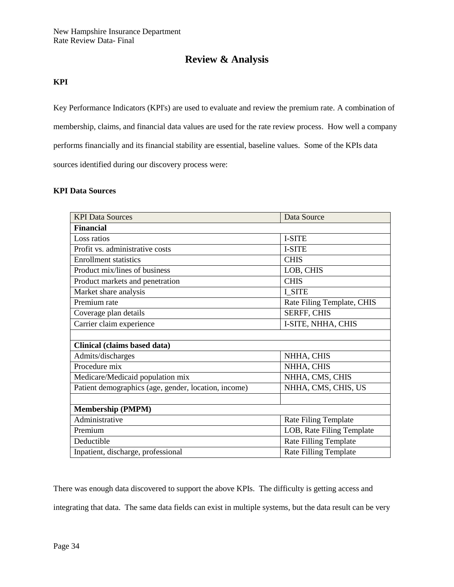## **Review & Analysis**

## <span id="page-34-1"></span><span id="page-34-0"></span>**KPI**

Key Performance Indicators (KPI's) are used to evaluate and review the premium rate. A combination of membership, claims, and financial data values are used for the rate review process. How well a company performs financially and its financial stability are essential, baseline values. Some of the KPIs data sources identified during our discovery process were:

### <span id="page-34-2"></span>**KPI Data Sources**

| <b>KPI Data Sources</b>                              | Data Source                  |  |
|------------------------------------------------------|------------------------------|--|
| <b>Financial</b>                                     |                              |  |
| Loss ratios                                          | <b>I-SITE</b>                |  |
| Profit vs. administrative costs                      | <b>I-SITE</b>                |  |
| <b>Enrollment statistics</b>                         | <b>CHIS</b>                  |  |
| Product mix/lines of business                        | LOB, CHIS                    |  |
| Product markets and penetration                      | <b>CHIS</b>                  |  |
| Market share analysis                                | I SITE                       |  |
| Premium rate                                         | Rate Filing Template, CHIS   |  |
| Coverage plan details                                | <b>SERFF, CHIS</b>           |  |
| Carrier claim experience                             | I-SITE, NHHA, CHIS           |  |
|                                                      |                              |  |
| Clinical (claims based data)                         |                              |  |
| Admits/discharges                                    | NHHA, CHIS                   |  |
| Procedure mix                                        | NHHA, CHIS                   |  |
| Medicare/Medicaid population mix                     | NHHA, CMS, CHIS              |  |
| Patient demographics (age, gender, location, income) | NHHA, CMS, CHIS, US          |  |
|                                                      |                              |  |
| <b>Membership (PMPM)</b>                             |                              |  |
| Administrative                                       | Rate Filing Template         |  |
| Premium                                              | LOB, Rate Filing Template    |  |
| Deductible                                           | <b>Rate Filling Template</b> |  |
| Inpatient, discharge, professional                   | <b>Rate Filling Template</b> |  |

There was enough data discovered to support the above KPIs. The difficulty is getting access and integrating that data. The same data fields can exist in multiple systems, but the data result can be very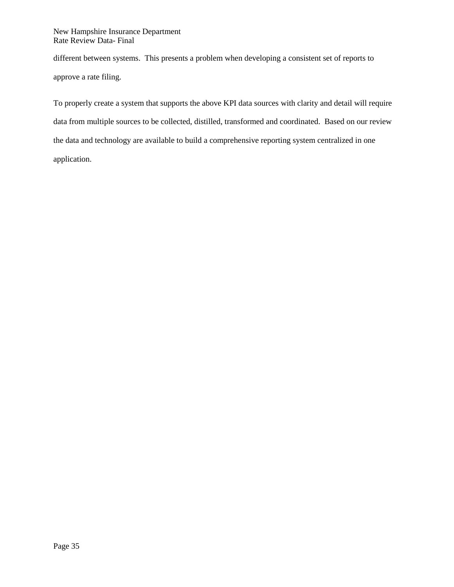different between systems. This presents a problem when developing a consistent set of reports to approve a rate filing.

To properly create a system that supports the above KPI data sources with clarity and detail will require data from multiple sources to be collected, distilled, transformed and coordinated. Based on our review the data and technology are available to build a comprehensive reporting system centralized in one application.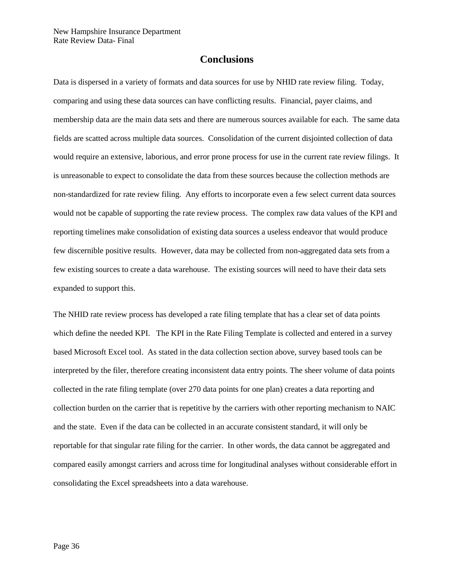## **Conclusions**

<span id="page-36-0"></span>Data is dispersed in a variety of formats and data sources for use by NHID rate review filing. Today, comparing and using these data sources can have conflicting results. Financial, payer claims, and membership data are the main data sets and there are numerous sources available for each. The same data fields are scatted across multiple data sources. Consolidation of the current disjointed collection of data would require an extensive, laborious, and error prone process for use in the current rate review filings. It is unreasonable to expect to consolidate the data from these sources because the collection methods are non-standardized for rate review filing. Any efforts to incorporate even a few select current data sources would not be capable of supporting the rate review process. The complex raw data values of the KPI and reporting timelines make consolidation of existing data sources a useless endeavor that would produce few discernible positive results. However, data may be collected from non-aggregated data sets from a few existing sources to create a data warehouse. The existing sources will need to have their data sets expanded to support this.

The NHID rate review process has developed a rate filing template that has a clear set of data points which define the needed KPI. The KPI in the Rate Filing Template is collected and entered in a survey based Microsoft Excel tool. As stated in the data collection section above, survey based tools can be interpreted by the filer, therefore creating inconsistent data entry points. The sheer volume of data points collected in the rate filing template (over 270 data points for one plan) creates a data reporting and collection burden on the carrier that is repetitive by the carriers with other reporting mechanism to NAIC and the state. Even if the data can be collected in an accurate consistent standard, it will only be reportable for that singular rate filing for the carrier. In other words, the data cannot be aggregated and compared easily amongst carriers and across time for longitudinal analyses without considerable effort in consolidating the Excel spreadsheets into a data warehouse.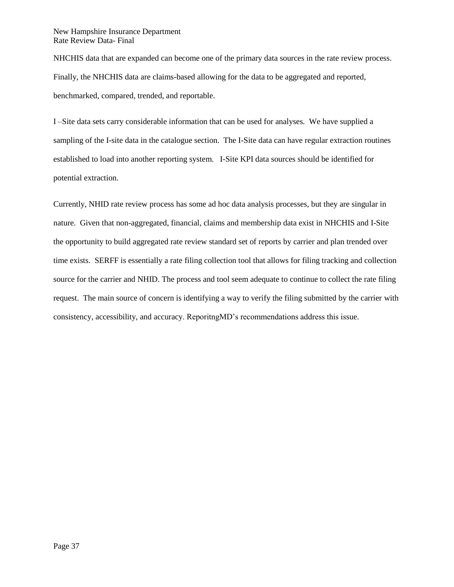NHCHIS data that are expanded can become one of the primary data sources in the rate review process. Finally, the NHCHIS data are claims-based allowing for the data to be aggregated and reported, benchmarked, compared, trended, and reportable.

I –Site data sets carry considerable information that can be used for analyses. We have supplied a sampling of the I-site data in the catalogue section. The I-Site data can have regular extraction routines established to load into another reporting system. I-Site KPI data sources should be identified for potential extraction.

Currently, NHID rate review process has some ad hoc data analysis processes, but they are singular in nature. Given that non-aggregated, financial, claims and membership data exist in NHCHIS and I-Site the opportunity to build aggregated rate review standard set of reports by carrier and plan trended over time exists. SERFF is essentially a rate filing collection tool that allows for filing tracking and collection source for the carrier and NHID. The process and tool seem adequate to continue to collect the rate filing request. The main source of concern is identifying a way to verify the filing submitted by the carrier with consistency, accessibility, and accuracy. ReporitngMD's recommendations address this issue.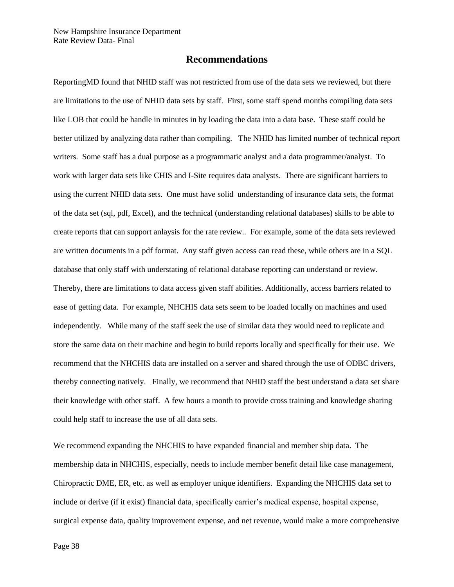## **Recommendations**

<span id="page-38-0"></span>ReportingMD found that NHID staff was not restricted from use of the data sets we reviewed, but there are limitations to the use of NHID data sets by staff. First, some staff spend months compiling data sets like LOB that could be handle in minutes in by loading the data into a data base. These staff could be better utilized by analyzing data rather than compiling. The NHID has limited number of technical report writers. Some staff has a dual purpose as a programmatic analyst and a data programmer/analyst. To work with larger data sets like CHIS and I-Site requires data analysts. There are significant barriers to using the current NHID data sets. One must have solid understanding of insurance data sets, the format of the data set (sql, pdf, Excel), and the technical (understanding relational databases) skills to be able to create reports that can support anlaysis for the rate review.. For example, some of the data sets reviewed are written documents in a pdf format. Any staff given access can read these, while others are in a SQL database that only staff with understating of relational database reporting can understand or review. Thereby, there are limitations to data access given staff abilities. Additionally, access barriers related to ease of getting data. For example, NHCHIS data sets seem to be loaded locally on machines and used independently. While many of the staff seek the use of similar data they would need to replicate and store the same data on their machine and begin to build reports locally and specifically for their use. We recommend that the NHCHIS data are installed on a server and shared through the use of ODBC drivers, thereby connecting natively. Finally, we recommend that NHID staff the best understand a data set share their knowledge with other staff. A few hours a month to provide cross training and knowledge sharing could help staff to increase the use of all data sets.

We recommend expanding the NHCHIS to have expanded financial and member ship data. The membership data in NHCHIS, especially, needs to include member benefit detail like case management, Chiropractic DME, ER, etc. as well as employer unique identifiers. Expanding the NHCHIS data set to include or derive (if it exist) financial data, specifically carrier's medical expense, hospital expense, surgical expense data, quality improvement expense, and net revenue, would make a more comprehensive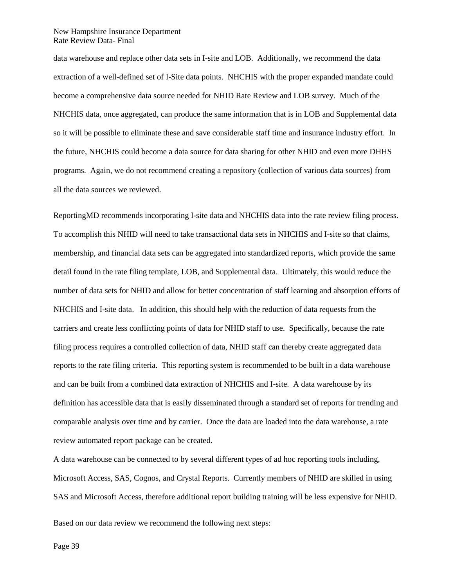data warehouse and replace other data sets in I-site and LOB. Additionally, we recommend the data extraction of a well-defined set of I-Site data points. NHCHIS with the proper expanded mandate could become a comprehensive data source needed for NHID Rate Review and LOB survey. Much of the NHCHIS data, once aggregated, can produce the same information that is in LOB and Supplemental data so it will be possible to eliminate these and save considerable staff time and insurance industry effort. In the future, NHCHIS could become a data source for data sharing for other NHID and even more DHHS programs. Again, we do not recommend creating a repository (collection of various data sources) from all the data sources we reviewed.

ReportingMD recommends incorporating I-site data and NHCHIS data into the rate review filing process. To accomplish this NHID will need to take transactional data sets in NHCHIS and I-site so that claims, membership, and financial data sets can be aggregated into standardized reports, which provide the same detail found in the rate filing template, LOB, and Supplemental data. Ultimately, this would reduce the number of data sets for NHID and allow for better concentration of staff learning and absorption efforts of NHCHIS and I-site data. In addition, this should help with the reduction of data requests from the carriers and create less conflicting points of data for NHID staff to use. Specifically, because the rate filing process requires a controlled collection of data, NHID staff can thereby create aggregated data reports to the rate filing criteria. This reporting system is recommended to be built in a data warehouse and can be built from a combined data extraction of NHCHIS and I-site. A data warehouse by its definition has accessible data that is easily disseminated through a standard set of reports for trending and comparable analysis over time and by carrier. Once the data are loaded into the data warehouse, a rate review automated report package can be created.

A data warehouse can be connected to by several different types of ad hoc reporting tools including, Microsoft Access, SAS, Cognos, and Crystal Reports. Currently members of NHID are skilled in using SAS and Microsoft Access, therefore additional report building training will be less expensive for NHID.

Based on our data review we recommend the following next steps: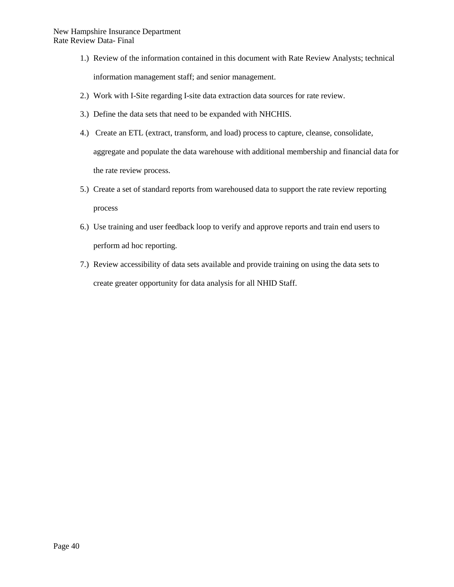- 1.) Review of the information contained in this document with Rate Review Analysts; technical information management staff; and senior management.
- 2.) Work with I-Site regarding I-site data extraction data sources for rate review.
- 3.) Define the data sets that need to be expanded with NHCHIS.
- 4.) Create an ETL (extract, transform, and load) process to capture, cleanse, consolidate, aggregate and populate the data warehouse with additional membership and financial data for the rate review process.
- 5.) Create a set of standard reports from warehoused data to support the rate review reporting process
- 6.) Use training and user feedback loop to verify and approve reports and train end users to perform ad hoc reporting.
- 7.) Review accessibility of data sets available and provide training on using the data sets to create greater opportunity for data analysis for all NHID Staff.